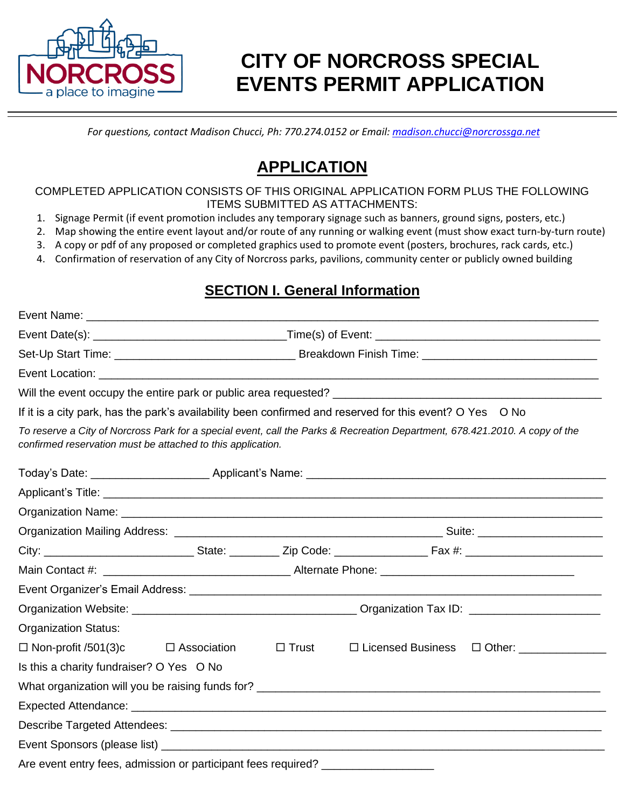

# **CITY OF NORCROSS SPECIAL EVENTS PERMIT APPLICATION**

*For questions, contact Madison Chucci, Ph: 770.274.0152 or Email[: madison.chucci@norcrossga.net](mailto:madison.chucci@norcrossga.net)*

## **APPLICATION**

COMPLETED APPLICATION CONSISTS OF THIS ORIGINAL APPLICATION FORM PLUS THE FOLLOWING ITEMS SUBMITTED AS ATTACHMENTS:

- 1. Signage Permit (if event promotion includes any temporary signage such as banners, ground signs, posters, etc.)
- 2. Map showing the entire event layout and/or route of any running or walking event (must show exact turn-by-turn route)
- 3. A copy or pdf of any proposed or completed graphics used to promote event (posters, brochures, rack cards, etc.)
- 4. Confirmation of reservation of any City of Norcross parks, pavilions, community center or publicly owned building

#### **SECTION I. General Information**

| If it is a city park, has the park's availability been confirmed and reserved for this event? O Yes O No                                                                                   |  |              |                     |                           |  |
|--------------------------------------------------------------------------------------------------------------------------------------------------------------------------------------------|--|--------------|---------------------|---------------------------|--|
| To reserve a City of Norcross Park for a special event, call the Parks & Recreation Department, 678.421.2010. A copy of the<br>confirmed reservation must be attached to this application. |  |              |                     |                           |  |
|                                                                                                                                                                                            |  |              |                     |                           |  |
|                                                                                                                                                                                            |  |              |                     |                           |  |
|                                                                                                                                                                                            |  |              |                     |                           |  |
|                                                                                                                                                                                            |  |              |                     |                           |  |
|                                                                                                                                                                                            |  |              |                     |                           |  |
|                                                                                                                                                                                            |  |              |                     |                           |  |
|                                                                                                                                                                                            |  |              |                     |                           |  |
|                                                                                                                                                                                            |  |              |                     |                           |  |
| <b>Organization Status:</b>                                                                                                                                                                |  |              |                     |                           |  |
| $\Box$ Non-profit /501(3)c $\Box$ Association                                                                                                                                              |  | $\Box$ Trust | □ Licensed Business | □ Other: ________________ |  |
| Is this a charity fundraiser? O Yes O No                                                                                                                                                   |  |              |                     |                           |  |
|                                                                                                                                                                                            |  |              |                     |                           |  |
|                                                                                                                                                                                            |  |              |                     |                           |  |
|                                                                                                                                                                                            |  |              |                     |                           |  |
|                                                                                                                                                                                            |  |              |                     |                           |  |
| $\Lambda$ is a use to set the set of properties of positions in the set of $\Lambda$                                                                                                       |  |              |                     |                           |  |

Are event entry fees, admission or participant fees required?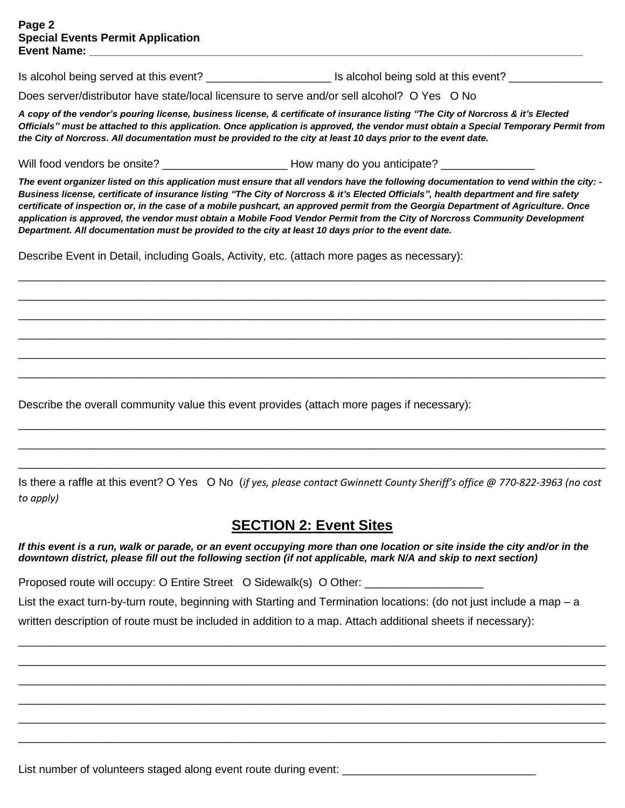Is alcohol being served at this event? \_\_\_\_\_\_\_\_\_\_\_\_\_\_\_\_\_\_\_\_ Is alcohol being sold at this event? \_\_\_\_\_\_\_\_\_\_\_\_\_\_\_

Does server/distributor have state/local licensure to serve and/or sell alcohol? O Yes O No

*A copy of the vendor's pouring license, business license, & certificate of insurance listing "The City of Norcross & it's Elected Officials" must be attached to this application. Once application is approved, the vendor must obtain a Special Temporary Permit from the City of Norcross. All documentation must be provided to the city at least 10 days prior to the event date.*

Will food vendors be onsite? <br>
How many do you anticipate?

*The event organizer listed on this application must ensure that all vendors have the following documentation to vend within the city: - Business license, certificate of insurance listing "The City of Norcross & it's Elected Officials", health department and fire safety certificate of inspection or, in the case of a mobile pushcart, an approved permit from the Georgia Department of Agriculture. Once application is approved, the vendor must obtain a Mobile Food Vendor Permit from the City of Norcross Community Development Department. All documentation must be provided to the city at least 10 days prior to the event date.*

\_\_\_\_\_\_\_\_\_\_\_\_\_\_\_\_\_\_\_\_\_\_\_\_\_\_\_\_\_\_\_\_\_\_\_\_\_\_\_\_\_\_\_\_\_\_\_\_\_\_\_\_\_\_\_\_\_\_\_\_\_\_\_\_\_\_\_\_\_\_\_\_\_\_\_\_\_\_\_\_\_\_\_\_\_\_\_\_\_\_\_\_\_\_ \_\_\_\_\_\_\_\_\_\_\_\_\_\_\_\_\_\_\_\_\_\_\_\_\_\_\_\_\_\_\_\_\_\_\_\_\_\_\_\_\_\_\_\_\_\_\_\_\_\_\_\_\_\_\_\_\_\_\_\_\_\_\_\_\_\_\_\_\_\_\_\_\_\_\_\_\_\_\_\_\_\_\_\_\_\_\_\_\_\_\_\_\_\_ \_\_\_\_\_\_\_\_\_\_\_\_\_\_\_\_\_\_\_\_\_\_\_\_\_\_\_\_\_\_\_\_\_\_\_\_\_\_\_\_\_\_\_\_\_\_\_\_\_\_\_\_\_\_\_\_\_\_\_\_\_\_\_\_\_\_\_\_\_\_\_\_\_\_\_\_\_\_\_\_\_\_\_\_\_\_\_\_\_\_\_\_\_\_ \_\_\_\_\_\_\_\_\_\_\_\_\_\_\_\_\_\_\_\_\_\_\_\_\_\_\_\_\_\_\_\_\_\_\_\_\_\_\_\_\_\_\_\_\_\_\_\_\_\_\_\_\_\_\_\_\_\_\_\_\_\_\_\_\_\_\_\_\_\_\_\_\_\_\_\_\_\_\_\_\_\_\_\_\_\_\_\_\_\_\_\_\_\_ \_\_\_\_\_\_\_\_\_\_\_\_\_\_\_\_\_\_\_\_\_\_\_\_\_\_\_\_\_\_\_\_\_\_\_\_\_\_\_\_\_\_\_\_\_\_\_\_\_\_\_\_\_\_\_\_\_\_\_\_\_\_\_\_\_\_\_\_\_\_\_\_\_\_\_\_\_\_\_\_\_\_\_\_\_\_\_\_\_\_\_\_\_\_ \_\_\_\_\_\_\_\_\_\_\_\_\_\_\_\_\_\_\_\_\_\_\_\_\_\_\_\_\_\_\_\_\_\_\_\_\_\_\_\_\_\_\_\_\_\_\_\_\_\_\_\_\_\_\_\_\_\_\_\_\_\_\_\_\_\_\_\_\_\_\_\_\_\_\_\_\_\_\_\_\_\_\_\_\_\_\_\_\_\_\_\_\_\_

Describe Event in Detail, including Goals, Activity, etc. (attach more pages as necessary):

Describe the overall community value this event provides (attach more pages if necessary):

Is there a raffle at this event? O Yes O No (*if yes, please contact Gwinnett County Sheriff's office @ 770-822-3963 (no cost to apply)* 

\_\_\_\_\_\_\_\_\_\_\_\_\_\_\_\_\_\_\_\_\_\_\_\_\_\_\_\_\_\_\_\_\_\_\_\_\_\_\_\_\_\_\_\_\_\_\_\_\_\_\_\_\_\_\_\_\_\_\_\_\_\_\_\_\_\_\_\_\_\_\_\_\_\_\_\_\_\_\_\_\_\_\_\_\_\_\_\_\_\_\_\_\_\_ \_\_\_\_\_\_\_\_\_\_\_\_\_\_\_\_\_\_\_\_\_\_\_\_\_\_\_\_\_\_\_\_\_\_\_\_\_\_\_\_\_\_\_\_\_\_\_\_\_\_\_\_\_\_\_\_\_\_\_\_\_\_\_\_\_\_\_\_\_\_\_\_\_\_\_\_\_\_\_\_\_\_\_\_\_\_\_\_\_\_\_\_\_\_ \_\_\_\_\_\_\_\_\_\_\_\_\_\_\_\_\_\_\_\_\_\_\_\_\_\_\_\_\_\_\_\_\_\_\_\_\_\_\_\_\_\_\_\_\_\_\_\_\_\_\_\_\_\_\_\_\_\_\_\_\_\_\_\_\_\_\_\_\_\_\_\_\_\_\_\_\_\_\_\_\_\_\_\_\_\_\_\_\_\_\_\_\_\_

#### **SECTION 2: Event Sites**

*If this event is a run, walk or parade, or an event occupying more than one location or site inside the city and/or in the downtown district, please fill out the following section (if not applicable, mark N/A and skip to next section)*

Proposed route will occupy: O Entire Street O Sidewalk(s) O Other: \_\_\_\_\_\_\_\_\_\_\_\_\_

List the exact turn-by-turn route, beginning with Starting and Termination locations: (do not just include a map – a

\_\_\_\_\_\_\_\_\_\_\_\_\_\_\_\_\_\_\_\_\_\_\_\_\_\_\_\_\_\_\_\_\_\_\_\_\_\_\_\_\_\_\_\_\_\_\_\_\_\_\_\_\_\_\_\_\_\_\_\_\_\_\_\_\_\_\_\_\_\_\_\_\_\_\_\_\_\_\_\_\_\_\_\_\_\_\_\_\_\_\_\_\_\_ \_\_\_\_\_\_\_\_\_\_\_\_\_\_\_\_\_\_\_\_\_\_\_\_\_\_\_\_\_\_\_\_\_\_\_\_\_\_\_\_\_\_\_\_\_\_\_\_\_\_\_\_\_\_\_\_\_\_\_\_\_\_\_\_\_\_\_\_\_\_\_\_\_\_\_\_\_\_\_\_\_\_\_\_\_\_\_\_\_\_\_\_\_\_ \_\_\_\_\_\_\_\_\_\_\_\_\_\_\_\_\_\_\_\_\_\_\_\_\_\_\_\_\_\_\_\_\_\_\_\_\_\_\_\_\_\_\_\_\_\_\_\_\_\_\_\_\_\_\_\_\_\_\_\_\_\_\_\_\_\_\_\_\_\_\_\_\_\_\_\_\_\_\_\_\_\_\_\_\_\_\_\_\_\_\_\_\_\_ \_\_\_\_\_\_\_\_\_\_\_\_\_\_\_\_\_\_\_\_\_\_\_\_\_\_\_\_\_\_\_\_\_\_\_\_\_\_\_\_\_\_\_\_\_\_\_\_\_\_\_\_\_\_\_\_\_\_\_\_\_\_\_\_\_\_\_\_\_\_\_\_\_\_\_\_\_\_\_\_\_\_\_\_\_\_\_\_\_\_\_\_\_\_ \_\_\_\_\_\_\_\_\_\_\_\_\_\_\_\_\_\_\_\_\_\_\_\_\_\_\_\_\_\_\_\_\_\_\_\_\_\_\_\_\_\_\_\_\_\_\_\_\_\_\_\_\_\_\_\_\_\_\_\_\_\_\_\_\_\_\_\_\_\_\_\_\_\_\_\_\_\_\_\_\_\_\_\_\_\_\_\_\_\_\_\_\_\_ \_\_\_\_\_\_\_\_\_\_\_\_\_\_\_\_\_\_\_\_\_\_\_\_\_\_\_\_\_\_\_\_\_\_\_\_\_\_\_\_\_\_\_\_\_\_\_\_\_\_\_\_\_\_\_\_\_\_\_\_\_\_\_\_\_\_\_\_\_\_\_\_\_\_\_\_\_\_\_\_\_\_\_\_\_\_\_\_\_\_\_\_\_\_

written description of route must be included in addition to a map. Attach additional sheets if necessary):

List number of volunteers staged along event route during event: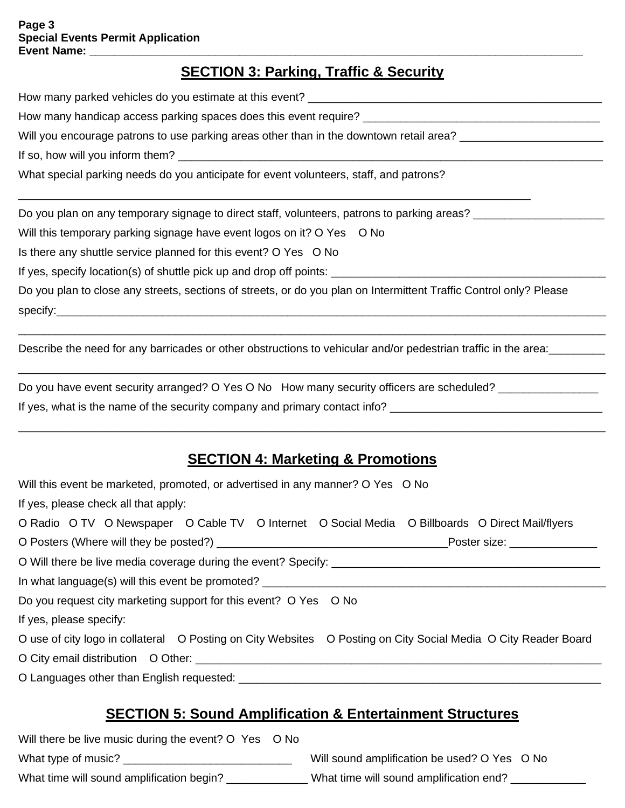#### **SECTION 3: Parking, Traffic & Security**

How many parked vehicles do you estimate at this event? How many handicap access parking spaces does this event require? \_\_\_\_\_\_\_\_\_\_\_\_\_\_\_ Will you encourage patrons to use parking areas other than in the downtown retail area? \_\_\_\_\_\_\_\_\_\_\_\_\_\_\_\_\_\_\_\_\_\_ If so, how will you inform them? What special parking needs do you anticipate for event volunteers, staff, and patrons? \_\_\_\_\_\_\_\_\_\_\_\_\_\_\_\_\_\_\_\_\_\_\_\_\_\_\_\_\_\_\_\_\_\_\_\_\_\_\_\_\_\_\_\_\_\_\_\_\_\_\_\_\_\_\_\_\_\_\_\_\_\_\_\_\_\_\_\_\_\_\_\_\_\_\_\_\_\_\_\_\_\_ Do you plan on any temporary signage to direct staff, volunteers, patrons to parking areas? Will this temporary parking signage have event logos on it? O Yes O No Is there any shuttle service planned for this event? O Yes O No

If yes, specify location(s) of shuttle pick up and drop off points: \_\_\_\_\_\_\_\_\_\_\_\_\_\_\_\_\_\_\_\_\_\_\_\_\_\_\_\_\_\_\_\_\_\_\_\_\_\_\_\_\_\_\_\_

Do you plan to close any streets, sections of streets, or do you plan on Intermittent Traffic Control only? Please specify:\_\_\_\_\_\_\_\_\_\_\_\_\_\_\_\_\_\_\_\_\_\_\_\_\_\_\_\_\_\_\_\_\_\_\_\_\_\_\_\_\_\_\_\_\_\_\_\_\_\_\_\_\_\_\_\_\_\_\_\_\_\_\_\_\_\_\_\_\_\_\_\_\_\_\_\_\_\_\_\_\_\_\_\_\_\_\_\_

\_\_\_\_\_\_\_\_\_\_\_\_\_\_\_\_\_\_\_\_\_\_\_\_\_\_\_\_\_\_\_\_\_\_\_\_\_\_\_\_\_\_\_\_\_\_\_\_\_\_\_\_\_\_\_\_\_\_\_\_\_\_\_\_\_\_\_\_\_\_\_\_\_\_\_\_\_\_\_\_\_\_\_\_\_\_\_\_\_\_\_\_\_\_

\_\_\_\_\_\_\_\_\_\_\_\_\_\_\_\_\_\_\_\_\_\_\_\_\_\_\_\_\_\_\_\_\_\_\_\_\_\_\_\_\_\_\_\_\_\_\_\_\_\_\_\_\_\_\_\_\_\_\_\_\_\_\_\_\_\_\_\_\_\_\_\_\_\_\_\_\_\_\_\_\_\_\_\_\_\_\_\_\_\_\_\_\_\_

Describe the need for any barricades or other obstructions to vehicular and/or pedestrian traffic in the area:

| Do you have event security arranged? O Yes O No How many security officers are scheduled? |  |
|-------------------------------------------------------------------------------------------|--|
| If yes, what is the name of the security company and primary contact info?                |  |

#### **SECTION 4: Marketing & Promotions**

\_\_\_\_\_\_\_\_\_\_\_\_\_\_\_\_\_\_\_\_\_\_\_\_\_\_\_\_\_\_\_\_\_\_\_\_\_\_\_\_\_\_\_\_\_\_\_\_\_\_\_\_\_\_\_\_\_\_\_\_\_\_\_\_\_\_\_\_\_\_\_\_\_\_\_\_\_\_\_\_\_\_\_\_\_\_\_\_\_\_\_\_\_\_

| Will this event be marketed, promoted, or advertised in any manner? O Yes O No                                 |  |  |  |  |  |
|----------------------------------------------------------------------------------------------------------------|--|--|--|--|--|
| If yes, please check all that apply:                                                                           |  |  |  |  |  |
| O Radio O TV O Newspaper O Cable TV O Internet O Social Media O Billboards O Direct Mail/flyers                |  |  |  |  |  |
|                                                                                                                |  |  |  |  |  |
|                                                                                                                |  |  |  |  |  |
| In what language(s) will this event be promoted?                                                               |  |  |  |  |  |
| Do you request city marketing support for this event? O Yes O No                                               |  |  |  |  |  |
| If yes, please specify:                                                                                        |  |  |  |  |  |
| O use of city logo in collateral O Posting on City Websites O Posting on City Social Media O City Reader Board |  |  |  |  |  |
| O City email distribution O Other:                                                                             |  |  |  |  |  |
|                                                                                                                |  |  |  |  |  |

#### **SECTION 5: Sound Amplification & Entertainment Structures**

| Will there be live music during the event? O Yes O No |                                              |  |
|-------------------------------------------------------|----------------------------------------------|--|
| What type of music?                                   | Will sound amplification be used? O Yes O No |  |
| What time will sound amplification begin?             | What time will sound amplification end?      |  |